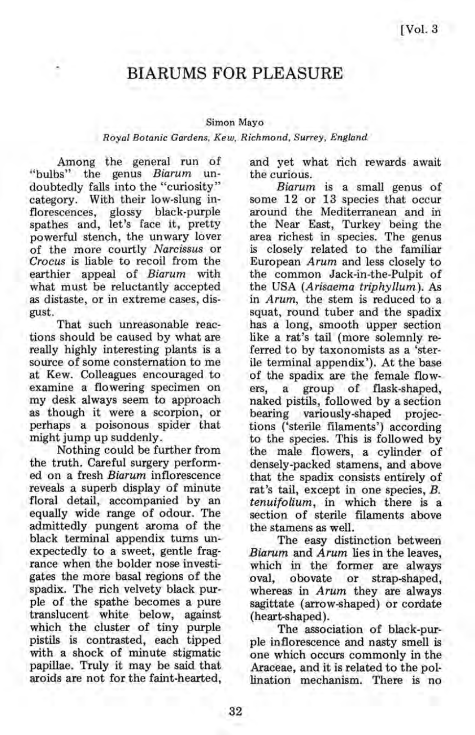## **BIARUMS FOR PLEASURE**

## Simon Mayo

## *Royal Botanic Gardens, Kew, Richmond, Surrey, England*

Among the general run of "bulbs" the genus *Biarum* undoubtedly falls into the "curiosity" category. With their low-slung inflorescences, glossy black-purple spathes and, let's face it, pretty powerful stench, the unwary lover of the more courtly *Narcissus* or *Crocus* is liable to recoil from the earthier appeal of *Biarum* with what must be reluctantly accepted as distaste, or in extreme cases, disgust.

That such unreasonable reactions should be caused by what are really highly interesting plants is a source of some consternation to me at Kew. Colleagues encouraged to examine a flowering specimen on my desk always seem to approach as though it were a scorpion, or perhaps a poisonous spider that might jump up suddenly.

Nothing could be further from the truth. Careful surgery performed on a fresh *Biarum* inflorescence reveals a superb display of minute floral detail, accompanied by an equally wide range of odour. The admittedly pungent aroma of the black terminal appendix turns unexpectedly to a sweet, gentle fragrance when the bolder nose investigates the more basal regions of the spadix. The rich velvety black purple of the spathe becomes a pure translucent white below, against which the cluster of tiny purple pistils is contrasted, each tipped with a shock of minute stigmatic papillae. Truly it may be said that aroids are not for the faint-hearted,

and yet what rich rewards await the curious.

*Biarum* is a small genus of some 12 or 13 species that occur around the Mediterranean and in the Near East, Turkey being the area richest in species. The genus is closely related to the familiar European *Arum* and less closely to the common Jack-in-the-Pulpit of the USA *(Arisaema triphyllum).* As in *Arum,* the stem is reduced to a squat, round tuber and the spadix has a long, smooth upper section like a rat's tail (more solemnly referred to by taxonomists as a 'sterile terminal appendix '). At the base of the spadix are the female flowers, a group of flask-shaped, naked pistils, followed by a section bearing variously-shaped projections ('sterile filaments') according to the species. This is followed by the male flowers, a cylinder of densely-packed stamens, and above that the spadix consists entirely of rat's tail, except in one species, B. *tenuifolium,* in which there is a section of sterile filaments above the stamens as well.

The easy distinction between *Biarum* and *Arum* lies in the leaves, which in the former are always oval, obovate or strap-shaped, whereas in *Arum* they are always sagittate (arrow-shaped) or cordate (heart-shaped).

The association of black-purple inflorescence and nasty smell is one which occurs commonly in the Araceae, and it is related to the pollination mechanism. There is no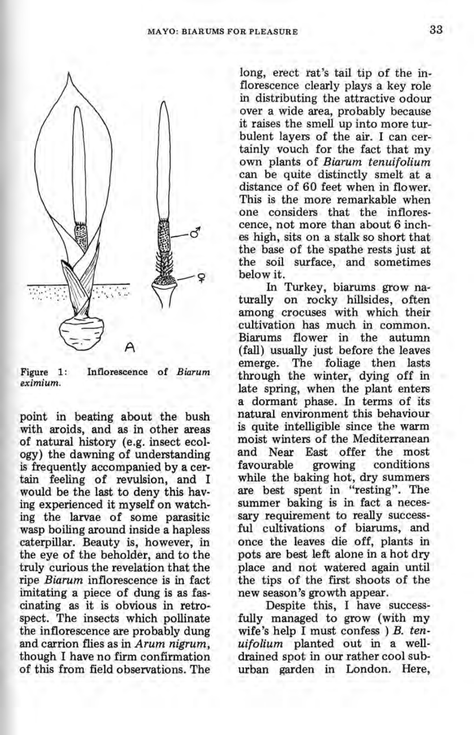

Figure 1: *eximium.*  Inflorescence of *Biarum* 

point in beating about the bush with aroids, and as in other areas of natural history (e.g. insect ecology) the dawning of understanding is frequently accompanied by a certain feeling of revulsion, and I would be the last to deny this having experienced it myself on watching the larvae of some parasitic wasp boiling around inside a hapless caterpillar. Beauty is, however, in the eye of the beholder, and to the truly curious the revelation that the ripe *Biarum* inflorescence is in fact imitating a piece of dung is as fascinating as it is obvious in retrospect. The insects which pollinate the inflorescence are probably dung and carrion flies as in *Arum nigrum,*  though I have no firm confirmation of this from field observations. The

long, erect rat's tail tip of the inflorescence clearly plays a key role in distributing the attractive odour over a wide area, probably because it raises the smell up into more turbulent layers of the air. I can certainly vouch for the fact that my own plants of *Biarum tenuifolium*  can be quite distinctly smelt at a distance of 60 feet when in flower. This is the more remarkable when<br>one considers that the inflorescence, not more than about 6 inches high, sits on a stalk so short that the base of the spathe rests just at the soil surface, and sometimes below it.

In Turkey, biarums grow naturally on rocky hillsides, often among crocuses with which their cultivation has much in common. Biarums flower in the autumn (fall) usually just before the leaves emerge. The foliage then lasts through the winter, dying off in late spring, when the plant enters a dormant phase. In terms of its natural environment this behaviour is quite intelligible since the warm moist winters of the Mediterranean and Near East offer the most favourable growing conditions while the baking hot, dry summers are best spent in "resting". The summer baking is in fact a necessary requirement to really successful cultivations of biarums, and once the leaves die off, plants in pots are best left alone in a hot dry place and not watered again until the tips of the first shoots of the new season's growth appear.

Despite this, I have successfully managed to grow (with my wife's help I must confess ) *B. tenuifolium* planted out in a welldrained spot in our rather cool suburban garden in London. Here,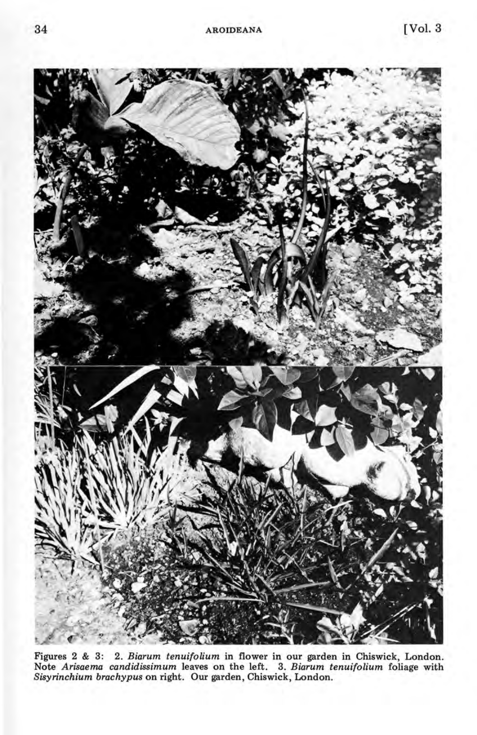

Figures 2 & 3: 2. *Biarum tenuifolium* in flower in our garden in Chiswick, London. Note *Arisaema candidissimum* leaves on the left. 3. *Biarum tenuifolium* foliage with *Sisyrinchium brachypus* on right. Our garden, Chiswick, London.